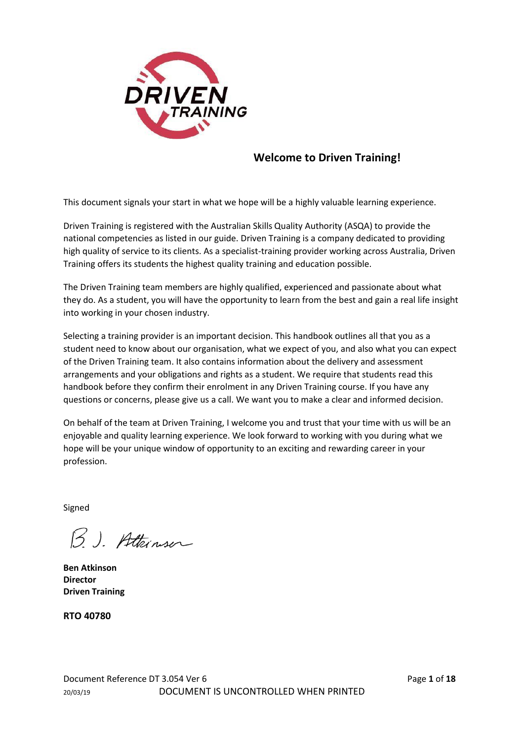

# **Welcome to Driven Training!**

This document signals your start in what we hope will be a highly valuable learning experience.

Driven Training is registered with the Australian Skills Quality Authority (ASQA) to provide the national competencies as listed in our guide. Driven Training is a company dedicated to providing high quality of service to its clients. As a specialist-training provider working across Australia, Driven Training offers its students the highest quality training and education possible.

The Driven Training team members are highly qualified, experienced and passionate about what they do. As a student, you will have the opportunity to learn from the best and gain a real life insight into working in your chosen industry.

Selecting a training provider is an important decision. This handbook outlines all that you as a student need to know about our organisation, what we expect of you, and also what you can expect of the Driven Training team. It also contains information about the delivery and assessment arrangements and your obligations and rights as a student. We require that students read this handbook before they confirm their enrolment in any Driven Training course. If you have any questions or concerns, please give us a call. We want you to make a clear and informed decision.

On behalf of the team at Driven Training, I welcome you and trust that your time with us will be an enjoyable and quality learning experience. We look forward to working with you during what we hope will be your unique window of opportunity to an exciting and rewarding career in your profession.

Signed

B. J. Atteinser

**Ben Atkinson Director Driven Training**

**RTO 40780**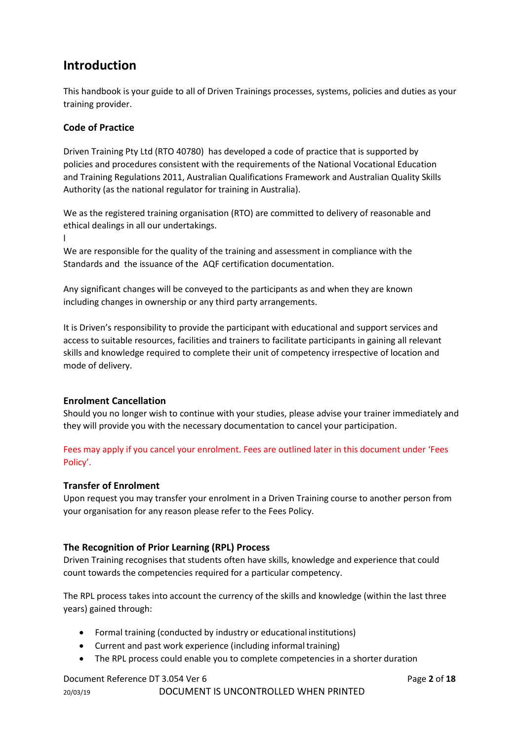# **Introduction**

This handbook is your guide to all of Driven Trainings processes, systems, policies and duties as your training provider.

# **Code of Practice**

Driven Training Pty Ltd (RTO 40780) has developed a code of practice that is supported by policies and procedures consistent with the requirements of the National Vocational Education and Training Regulations 2011, Australian Qualifications Framework and Australian Quality Skills Authority (as the national regulator for training in Australia).

We as the registered training organisation (RTO) are committed to delivery of reasonable and ethical dealings in all our undertakings.

l

We are responsible for the quality of the training and assessment in compliance with the Standards and the issuance of the AQF certification documentation.

Any significant changes will be conveyed to the participants as and when they are known including changes in ownership or any third party arrangements.

It is Driven's responsibility to provide the participant with educational and support services and access to suitable resources, facilities and trainers to facilitate participants in gaining all relevant skills and knowledge required to complete their unit of competency irrespective of location and mode of delivery.

# **Enrolment Cancellation**

Should you no longer wish to continue with your studies, please advise your trainer immediately and they will provide you with the necessary documentation to cancel your participation.

Fees may apply if you cancel your enrolment. Fees are outlined later in this document under 'Fees Policy'.

# **Transfer of Enrolment**

Upon request you may transfer your enrolment in a Driven Training course to another person from your organisation for any reason please refer to the Fees Policy.

# **The Recognition of Prior Learning (RPL) Process**

Driven Training recognises that students often have skills, knowledge and experience that could count towards the competencies required for a particular competency.

The RPL process takes into account the currency of the skills and knowledge (within the last three years) gained through:

- Formal training (conducted by industry or educational institutions)
- Current and past work experience (including informal training)
- The RPL process could enable you to complete competencies in a shorter duration

# Document Reference DT 3.054 Ver 6 **Page 2** of **18** Page **2** of **18**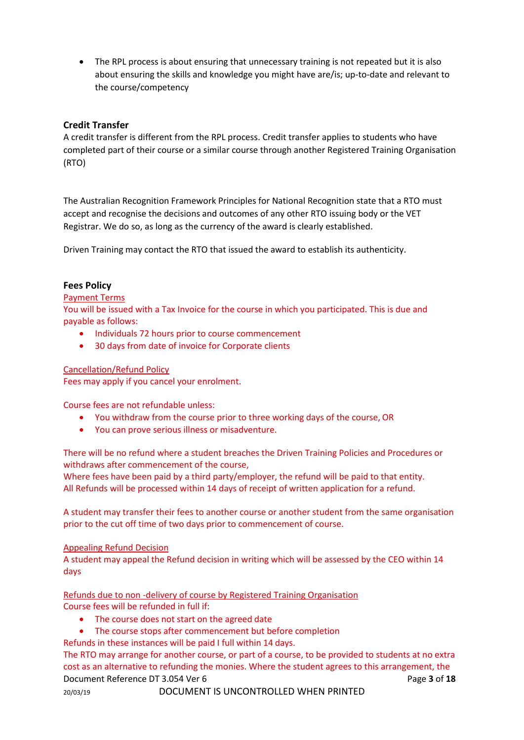• The RPL process is about ensuring that unnecessary training is not repeated but it is also about ensuring the skills and knowledge you might have are/is; up-to-date and relevant to the course/competency

# **Credit Transfer**

A credit transfer is different from the RPL process. Credit transfer applies to students who have completed part of their course or a similar course through another Registered Training Organisation (RTO)

The Australian Recognition Framework Principles for National Recognition state that a RTO must accept and recognise the decisions and outcomes of any other RTO issuing body or the VET Registrar. We do so, as long as the currency of the award is clearly established.

Driven Training may contact the RTO that issued the award to establish its authenticity.

#### **Fees Policy**

#### Payment Terms

You will be issued with a Tax Invoice for the course in which you participated. This is due and payable as follows:

- Individuals 72 hours prior to course commencement
- 30 days from date of invoice for Corporate clients

#### Cancellation/Refund Policy

Fees may apply if you cancel your enrolment.

Course fees are not refundable unless:

- You withdraw from the course prior to three working days of the course, OR
- You can prove serious illness or misadventure.

There will be no refund where a student breaches the Driven Training Policies and Procedures or withdraws after commencement of the course,

Where fees have been paid by a third party/employer, the refund will be paid to that entity. All Refunds will be processed within 14 days of receipt of written application for a refund.

A student may transfer their fees to another course or another student from the same organisation prior to the cut off time of two days prior to commencement of course.

#### Appealing Refund Decision

A student may appeal the Refund decision in writing which will be assessed by the CEO within 14 days

Refunds due to non -delivery of course by Registered Training Organisation Course fees will be refunded in full if:

- The course does not start on the agreed date
- The course stops after commencement but before completion
- Refunds in these instances will be paid I full within 14 days.

Document Reference DT 3.054 Ver 6 **Page 3** of 18 The RTO may arrange for another course, or part of a course, to be provided to students at no extra cost as an alternative to refunding the monies. Where the student agrees to this arrangement, the

20/03/19 DOCUMENT IS UNCONTROLLED WHEN PRINTED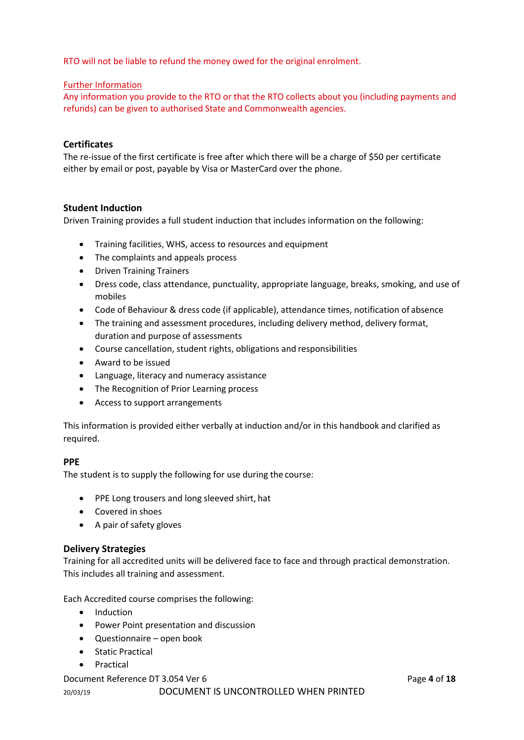RTO will not be liable to refund the money owed for the original enrolment.

# Further Information

Any information you provide to the RTO or that the RTO collects about you (including payments and refunds) can be given to authorised State and Commonwealth agencies.

# **Certificates**

The re-issue of the first certificate is free after which there will be a charge of \$50 per certificate either by email or post, payable by Visa or MasterCard over the phone.

# **Student Induction**

Driven Training provides a full student induction that includes information on the following:

- Training facilities, WHS, access to resources and equipment
- The complaints and appeals process
- Driven Training Trainers
- Dress code, class attendance, punctuality, appropriate language, breaks, smoking, and use of mobiles
- Code of Behaviour & dress code (if applicable), attendance times, notification of absence
- The training and assessment procedures, including delivery method, delivery format, duration and purpose of assessments
- Course cancellation, student rights, obligations and responsibilities
- Award to be issued
- Language, literacy and numeracy assistance
- The Recognition of Prior Learning process
- Access to support arrangements

This information is provided either verbally at induction and/or in this handbook and clarified as required.

# **PPE**

The student is to supply the following for use during the course:

- PPE Long trousers and long sleeved shirt, hat
- Covered in shoes
- A pair of safety gloves

# **Delivery Strategies**

Training for all accredited units will be delivered face to face and through practical demonstration. This includes all training and assessment.

Each Accredited course comprises the following:

- Induction
- Power Point presentation and discussion
- Questionnaire open book
- Static Practical
- Practical

#### Document Reference DT 3.054 Ver 6 **Page 4** of **18** Page 4 of **18**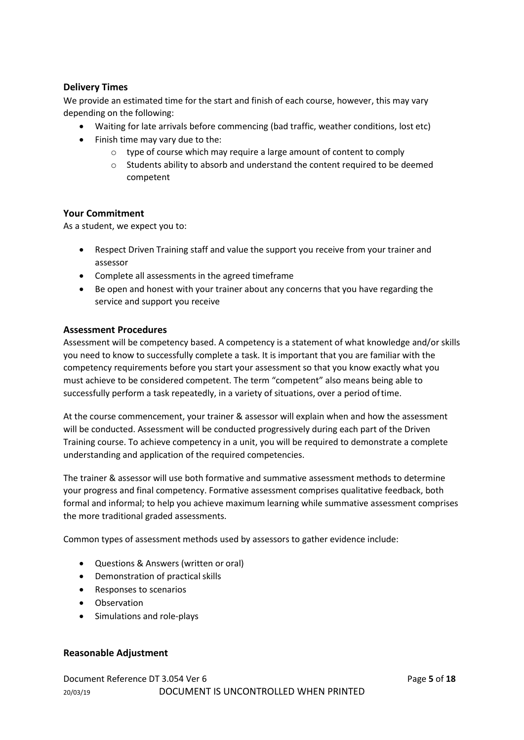# **Delivery Times**

We provide an estimated time for the start and finish of each course, however, this may vary depending on the following:

- Waiting for late arrivals before commencing (bad traffic, weather conditions, lost etc)
- Finish time may vary due to the:
	- o type of course which may require a large amount of content to comply
	- o Students ability to absorb and understand the content required to be deemed competent

# **Your Commitment**

As a student, we expect you to:

- Respect Driven Training staff and value the support you receive from your trainer and assessor
- Complete all assessments in the agreed timeframe
- Be open and honest with your trainer about any concerns that you have regarding the service and support you receive

#### **Assessment Procedures**

Assessment will be competency based. A competency is a statement of what knowledge and/or skills you need to know to successfully complete a task. It is important that you are familiar with the competency requirements before you start your assessment so that you know exactly what you must achieve to be considered competent. The term "competent" also means being able to successfully perform a task repeatedly, in a variety of situations, over a period oftime.

At the course commencement, your trainer & assessor will explain when and how the assessment will be conducted. Assessment will be conducted progressively during each part of the Driven Training course. To achieve competency in a unit, you will be required to demonstrate a complete understanding and application of the required competencies.

The trainer & assessor will use both formative and summative assessment methods to determine your progress and final competency. Formative assessment comprises qualitative feedback, both formal and informal; to help you achieve maximum learning while summative assessment comprises the more traditional graded assessments.

Common types of assessment methods used by assessors to gather evidence include:

- Questions & Answers (written or oral)
- Demonstration of practical skills
- Responses to scenarios
- Observation
- Simulations and role-plays

# **Reasonable Adjustment**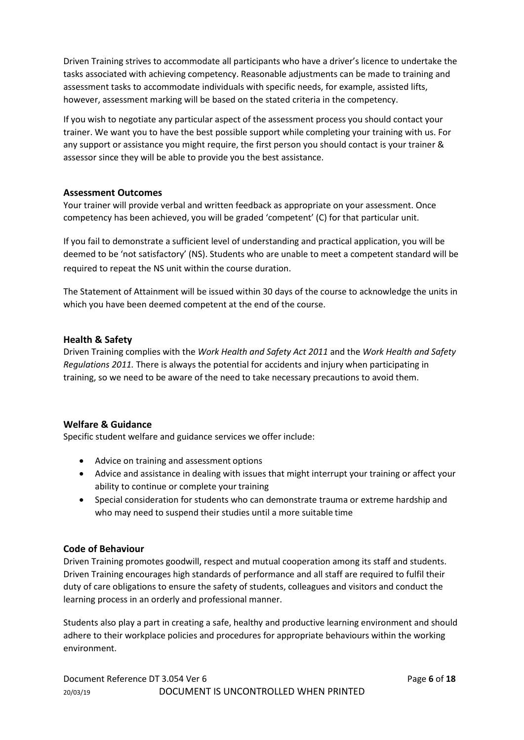Driven Training strives to accommodate all participants who have a driver's licence to undertake the tasks associated with achieving competency. Reasonable adjustments can be made to training and assessment tasks to accommodate individuals with specific needs, for example, assisted lifts, however, assessment marking will be based on the stated criteria in the competency.

If you wish to negotiate any particular aspect of the assessment process you should contact your trainer. We want you to have the best possible support while completing your training with us. For any support or assistance you might require, the first person you should contact is your trainer & assessor since they will be able to provide you the best assistance.

# **Assessment Outcomes**

Your trainer will provide verbal and written feedback as appropriate on your assessment. Once competency has been achieved, you will be graded 'competent' (C) for that particular unit.

If you fail to demonstrate a sufficient level of understanding and practical application, you will be deemed to be 'not satisfactory' (NS). Students who are unable to meet a competent standard will be required to repeat the NS unit within the course duration.

The Statement of Attainment will be issued within 30 days of the course to acknowledge the units in which you have been deemed competent at the end of the course.

# **Health & Safety**

Driven Training complies with the *Work Health and Safety Act 2011* and the *Work Health and Safety Regulations 2011.* There is always the potential for accidents and injury when participating in training, so we need to be aware of the need to take necessary precautions to avoid them.

# **Welfare & Guidance**

Specific student welfare and guidance services we offer include:

- Advice on training and assessment options
- Advice and assistance in dealing with issues that might interrupt your training or affect your ability to continue or complete your training
- Special consideration for students who can demonstrate trauma or extreme hardship and who may need to suspend their studies until a more suitable time

# **Code of Behaviour**

Driven Training promotes goodwill, respect and mutual cooperation among its staff and students. Driven Training encourages high standards of performance and all staff are required to fulfil their duty of care obligations to ensure the safety of students, colleagues and visitors and conduct the learning process in an orderly and professional manner.

Students also play a part in creating a safe, healthy and productive learning environment and should adhere to their workplace policies and procedures for appropriate behaviours within the working environment.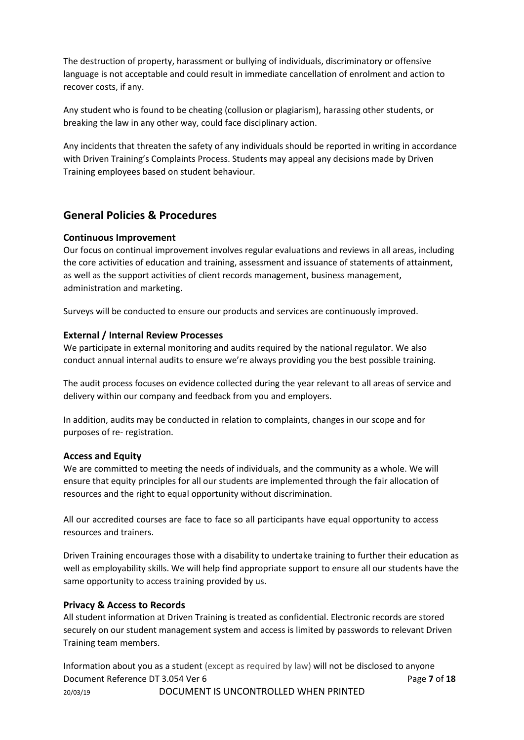The destruction of property, harassment or bullying of individuals, discriminatory or offensive language is not acceptable and could result in immediate cancellation of enrolment and action to recover costs, if any.

Any student who is found to be cheating (collusion or plagiarism), harassing other students, or breaking the law in any other way, could face disciplinary action.

Any incidents that threaten the safety of any individuals should be reported in writing in accordance with Driven Training's Complaints Process. Students may appeal any decisions made by Driven Training employees based on student behaviour.

# **General Policies & Procedures**

#### **Continuous Improvement**

Our focus on continual improvement involves regular evaluations and reviews in all areas, including the core activities of education and training, assessment and issuance of statements of attainment, as well as the support activities of client records management, business management, administration and marketing.

Surveys will be conducted to ensure our products and services are continuously improved.

#### **External / Internal Review Processes**

We participate in external monitoring and audits required by the national regulator. We also conduct annual internal audits to ensure we're always providing you the best possible training.

The audit process focuses on evidence collected during the year relevant to all areas of service and delivery within our company and feedback from you and employers.

In addition, audits may be conducted in relation to complaints, changes in our scope and for purposes of re- registration.

#### **Access and Equity**

We are committed to meeting the needs of individuals, and the community as a whole. We will ensure that equity principles for all our students are implemented through the fair allocation of resources and the right to equal opportunity without discrimination.

All our accredited courses are face to face so all participants have equal opportunity to access resources and trainers.

Driven Training encourages those with a disability to undertake training to further their education as well as employability skills. We will help find appropriate support to ensure all our students have the same opportunity to access training provided by us.

# **Privacy & Access to Records**

All student information at Driven Training is treated as confidential. Electronic records are stored securely on our student management system and access is limited by passwords to relevant Driven Training team members.

Document Reference DT 3.054 Ver 6 **Page 7** of **18** Page 7 of **18** 20/03/19 DOCUMENT IS UNCONTROLLED WHEN PRINTED Information about you as a student (except as required by law) will not be disclosed to anyone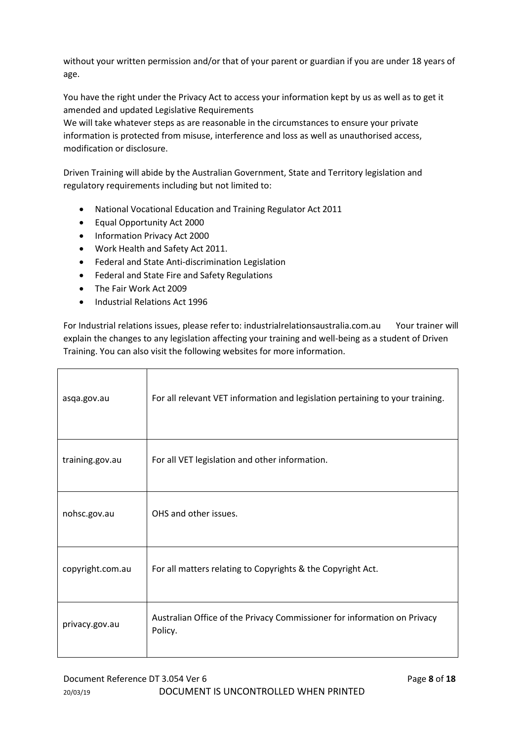without your written permission and/or that of your parent or guardian if you are under 18 years of age.

You have the right under the Privacy Act to access your information kept by us as well as to get it amended and updated Legislative Requirements

We will take whatever steps as are reasonable in the circumstances to ensure your private information is protected from misuse, interference and loss as well as unauthorised access, modification or disclosure.

Driven Training will abide by the Australian Government, State and Territory legislation and regulatory requirements including but not limited to:

- National Vocational Education and Training Regulator Act 2011
- Equal Opportunity Act 2000
- Information Privacy Act 2000
- Work Health and Safety Act 2011.
- Federal and State Anti-discrimination Legislation
- Federal and State Fire and Safety Regulations
- The Fair Work Act 2009
- Industrial Relations Act 1996

For Industrial relations issues, please referto: industrialrelationsaustralia.com.au Your trainer will explain the changes to any legislation affecting your training and well-being as a student of Driven Training. You can also visit the following websites for more information.

| asqa.gov.au      | For all relevant VET information and legislation pertaining to your training.       |
|------------------|-------------------------------------------------------------------------------------|
| training.gov.au  | For all VET legislation and other information.                                      |
| nohsc.gov.au     | OHS and other issues.                                                               |
| copyright.com.au | For all matters relating to Copyrights & the Copyright Act.                         |
| privacy.gov.au   | Australian Office of the Privacy Commissioner for information on Privacy<br>Policy. |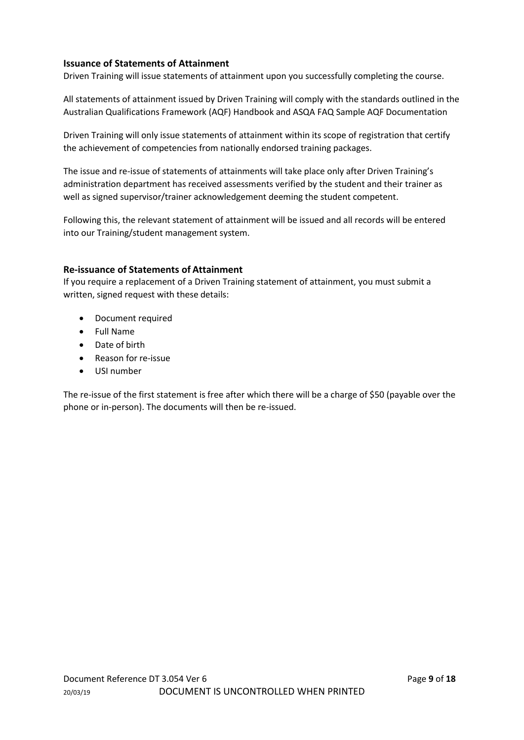# **Issuance of Statements of Attainment**

Driven Training will issue statements of attainment upon you successfully completing the course.

All statements of attainment issued by Driven Training will comply with the standards outlined in the Australian Qualifications Framework (AQF) Handbook and ASQA FAQ Sample AQF Documentation

Driven Training will only issue statements of attainment within its scope of registration that certify the achievement of competencies from nationally endorsed training packages.

The issue and re-issue of statements of attainments will take place only after Driven Training's administration department has received assessments verified by the student and their trainer as well as signed supervisor/trainer acknowledgement deeming the student competent.

Following this, the relevant statement of attainment will be issued and all records will be entered into our Training/student management system.

# **Re-issuance of Statements of Attainment**

If you require a replacement of a Driven Training statement of attainment, you must submit a written, signed request with these details:

- Document required
- Full Name
- Date of birth
- Reason for re-issue
- USI number

The re-issue of the first statement is free after which there will be a charge of \$50 (payable over the phone or in-person). The documents will then be re-issued.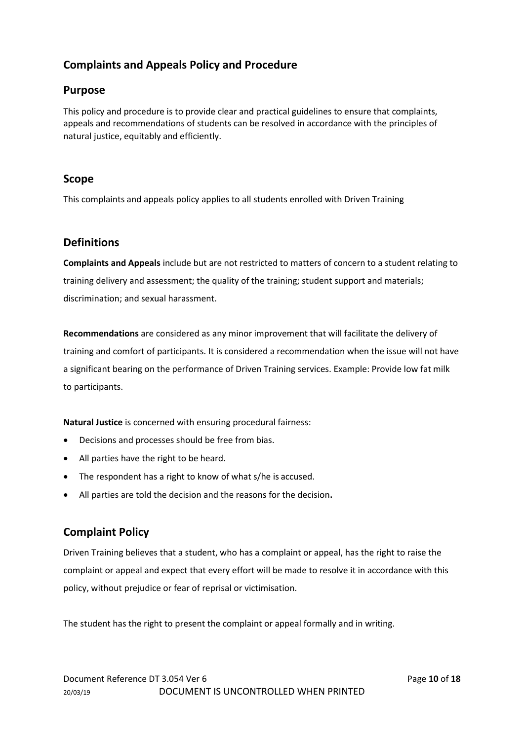# **Complaints and Appeals Policy and Procedure**

# **Purpose**

This policy and procedure is to provide clear and practical guidelines to ensure that complaints, appeals and recommendations of students can be resolved in accordance with the principles of natural justice, equitably and efficiently.

# **Scope**

This complaints and appeals policy applies to all students enrolled with Driven Training

# **Definitions**

**Complaints and Appeals** include but are not restricted to matters of concern to a student relating to training delivery and assessment; the quality of the training; student support and materials; discrimination; and sexual harassment.

**Recommendations** are considered as any minor improvement that will facilitate the delivery of training and comfort of participants. It is considered a recommendation when the issue will not have a significant bearing on the performance of Driven Training services. Example: Provide low fat milk to participants.

**Natural Justice** is concerned with ensuring procedural fairness:

- Decisions and processes should be free from bias.
- All parties have the right to be heard.
- The respondent has a right to know of what s/he is accused.
- All parties are told the decision and the reasons for the decision.

# **Complaint Policy**

Driven Training believes that a student, who has a complaint or appeal, has the right to raise the complaint or appeal and expect that every effort will be made to resolve it in accordance with this policy, without prejudice or fear of reprisal or victimisation.

The student has the right to present the complaint or appeal formally and in writing.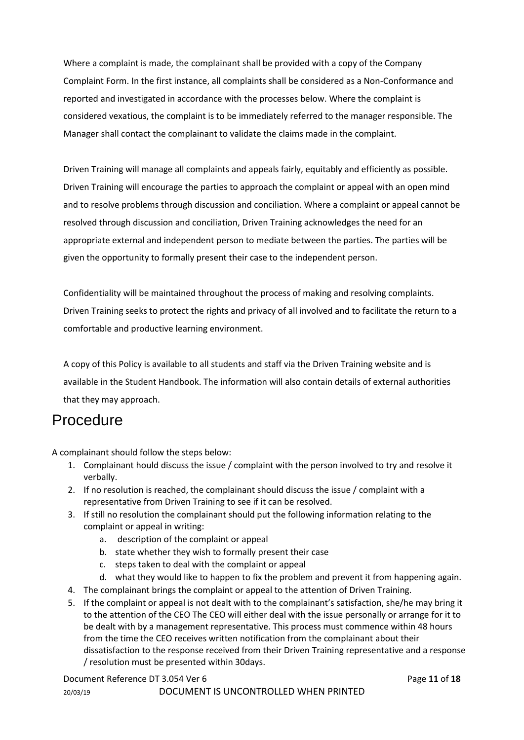Where a complaint is made, the complainant shall be provided with a copy of the Company Complaint Form. In the first instance, all complaints shall be considered as a Non-Conformance and reported and investigated in accordance with the processes below. Where the complaint is considered vexatious, the complaint is to be immediately referred to the manager responsible. The Manager shall contact the complainant to validate the claims made in the complaint.

Driven Training will manage all complaints and appeals fairly, equitably and efficiently as possible. Driven Training will encourage the parties to approach the complaint or appeal with an open mind and to resolve problems through discussion and conciliation. Where a complaint or appeal cannot be resolved through discussion and conciliation, Driven Training acknowledges the need for an appropriate external and independent person to mediate between the parties. The parties will be given the opportunity to formally present their case to the independent person.

Confidentiality will be maintained throughout the process of making and resolving complaints. Driven Training seeks to protect the rights and privacy of all involved and to facilitate the return to a comfortable and productive learning environment.

A copy of this Policy is available to all students and staff via the Driven Training website and is available in the Student Handbook. The information will also contain details of external authorities that they may approach.

# **Procedure**

A complainant should follow the steps below:

- 1. Complainant hould discuss the issue / complaint with the person involved to try and resolve it verbally.
- 2. If no resolution is reached, the complainant should discuss the issue / complaint with a representative from Driven Training to see if it can be resolved.
- 3. If still no resolution the complainant should put the following information relating to the complaint or appeal in writing:
	- a. description of the complaint or appeal
	- b. state whether they wish to formally present their case
	- c. steps taken to deal with the complaint or appeal
	- d. what they would like to happen to fix the problem and prevent it from happening again.
- 4. The complainant brings the complaint or appeal to the attention of Driven Training.
- 5. If the complaint or appeal is not dealt with to the complainant's satisfaction, she/he may bring it to the attention of the CEO The CEO will either deal with the issue personally or arrange for it to be dealt with by a management representative. This process must commence within 48 hours from the time the CEO receives written notification from the complainant about their dissatisfaction to the response received from their Driven Training representative and a response / resolution must be presented within 30days.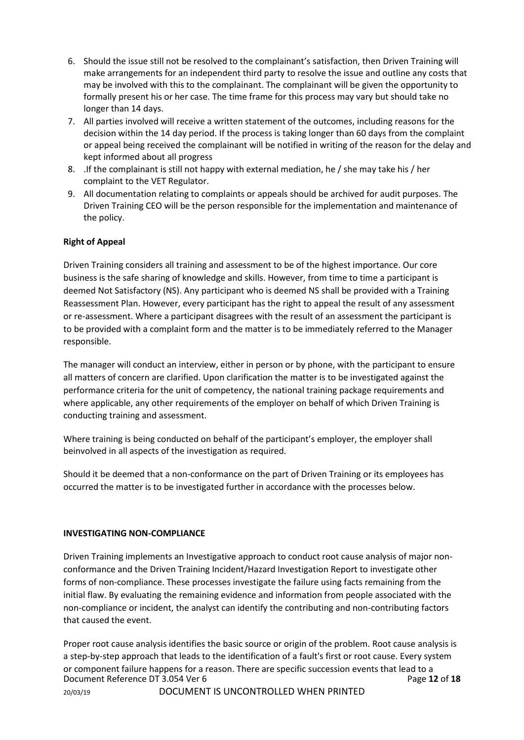- 6. Should the issue still not be resolved to the complainant's satisfaction, then Driven Training will make arrangements for an independent third party to resolve the issue and outline any costs that may be involved with this to the complainant. The complainant will be given the opportunity to formally present his or her case. The time frame for this process may vary but should take no longer than 14 days.
- 7. All parties involved will receive a written statement of the outcomes, including reasons for the decision within the 14 day period. If the process is taking longer than 60 days from the complaint or appeal being received the complainant will be notified in writing of the reason for the delay and kept informed about all progress
- 8. .If the complainant is still not happy with external mediation, he / she may take his / her complaint to the VET Regulator.
- 9. All documentation relating to complaints or appeals should be archived for audit purposes. The Driven Training CEO will be the person responsible for the implementation and maintenance of the policy.

# **Right of Appeal**

Driven Training considers all training and assessment to be of the highest importance. Our core business is the safe sharing of knowledge and skills. However, from time to time a participant is deemed Not Satisfactory (NS). Any participant who is deemed NS shall be provided with a Training Reassessment Plan. However, every participant has the right to appeal the result of any assessment or re-assessment. Where a participant disagrees with the result of an assessment the participant is to be provided with a complaint form and the matter is to be immediately referred to the Manager responsible.

The manager will conduct an interview, either in person or by phone, with the participant to ensure all matters of concern are clarified. Upon clarification the matter is to be investigated against the performance criteria for the unit of competency, the national training package requirements and where applicable, any other requirements of the employer on behalf of which Driven Training is conducting training and assessment.

Where training is being conducted on behalf of the participant's employer, the employer shall beinvolved in all aspects of the investigation as required.

Should it be deemed that a non-conformance on the part of Driven Training or its employees has occurred the matter is to be investigated further in accordance with the processes below.

# **INVESTIGATING NON-COMPLIANCE**

Driven Training implements an Investigative approach to conduct root cause analysis of major nonconformance and the Driven Training Incident/Hazard Investigation Report to investigate other forms of non-compliance. These processes investigate the failure using facts remaining from the initial flaw. By evaluating the remaining evidence and information from people associated with the non-compliance or incident, the analyst can identify the contributing and non-contributing factors that caused the event.

Document Reference DT 3.054 Ver 6 **Page 12** of **18** Page 12 of **18** 20/03/19 DOCUMENT IS UNCONTROLLED WHEN PRINTED Proper root cause analysis identifies the basic source or origin of the problem. Root cause analysis is a step-by-step approach that leads to the identification of a fault's first or root cause. Every system or component failure happens for a reason. There are specific succession events that lead to a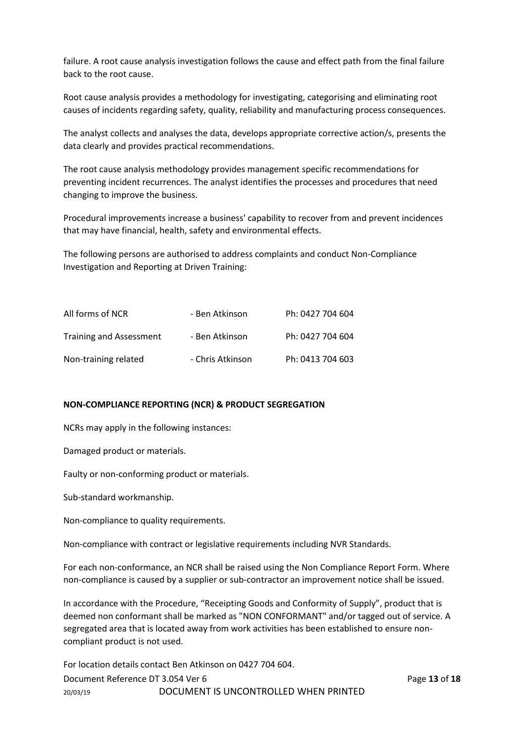failure. A root cause analysis investigation follows the cause and effect path from the final failure back to the root cause.

Root cause analysis provides a methodology for investigating, categorising and eliminating root causes of incidents regarding safety, quality, reliability and manufacturing process consequences.

The analyst collects and analyses the data, develops appropriate corrective action/s, presents the data clearly and provides practical recommendations.

The root cause analysis methodology provides management specific recommendations for preventing incident recurrences. The analyst identifies the processes and procedures that need changing to improve the business.

Procedural improvements increase a business' capability to recover from and prevent incidences that may have financial, health, safety and environmental effects.

The following persons are authorised to address complaints and conduct Non-Compliance Investigation and Reporting at Driven Training:

| All forms of NCR        | - Ben Atkinson   | Ph: 0427 704 604 |
|-------------------------|------------------|------------------|
| Training and Assessment | - Ben Atkinson   | Ph: 0427 704 604 |
| Non-training related    | - Chris Atkinson | Ph: 0413 704 603 |

#### **NON-COMPLIANCE REPORTING (NCR) & PRODUCT SEGREGATION**

NCRs may apply in the following instances:

Damaged product or materials.

Faulty or non-conforming product or materials.

Sub-standard workmanship.

Non-compliance to quality requirements.

Non-compliance with contract or legislative requirements including NVR Standards.

For each non-conformance, an NCR shall be raised using the Non Compliance Report Form. Where non-compliance is caused by a supplier or sub-contractor an improvement notice shall be issued.

In accordance with the Procedure, "Receipting Goods and Conformity of Supply", product that is deemed non conformant shall be marked as "NON CONFORMANT" and/or tagged out of service. A segregated area that is located away from work activities has been established to ensure noncompliant product is not used.

Document Reference DT 3.054 Ver 6 **Page 13** of **18** Page 13 of **18** 20/03/19 DOCUMENT IS UNCONTROLLED WHEN PRINTED For location details contact Ben Atkinson on 0427 704 604.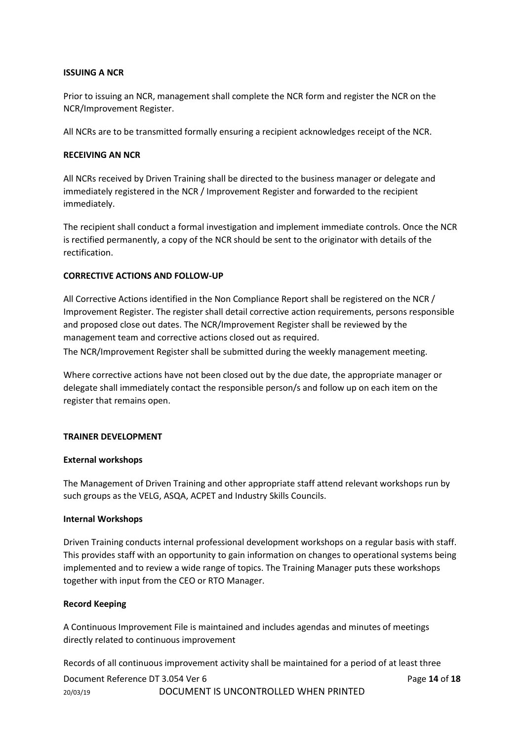#### **ISSUING A NCR**

Prior to issuing an NCR, management shall complete the NCR form and register the NCR on the NCR/Improvement Register.

All NCRs are to be transmitted formally ensuring a recipient acknowledges receipt of the NCR.

#### **RECEIVING AN NCR**

All NCRs received by Driven Training shall be directed to the business manager or delegate and immediately registered in the NCR / Improvement Register and forwarded to the recipient immediately.

The recipient shall conduct a formal investigation and implement immediate controls. Once the NCR is rectified permanently, a copy of the NCR should be sent to the originator with details of the rectification.

#### **CORRECTIVE ACTIONS AND FOLLOW-UP**

All Corrective Actions identified in the Non Compliance Report shall be registered on the NCR / Improvement Register. The register shall detail corrective action requirements, persons responsible and proposed close out dates. The NCR/Improvement Register shall be reviewed by the management team and corrective actions closed out as required.

The NCR/Improvement Register shall be submitted during the weekly management meeting.

Where corrective actions have not been closed out by the due date, the appropriate manager or delegate shall immediately contact the responsible person/s and follow up on each item on the register that remains open.

#### **TRAINER DEVELOPMENT**

#### **External workshops**

The Management of Driven Training and other appropriate staff attend relevant workshops run by such groups as the VELG, ASQA, ACPET and Industry Skills Councils.

#### **Internal Workshops**

Driven Training conducts internal professional development workshops on a regular basis with staff. This provides staff with an opportunity to gain information on changes to operational systems being implemented and to review a wide range of topics. The Training Manager puts these workshops together with input from the CEO or RTO Manager.

#### **Record Keeping**

A Continuous Improvement File is maintained and includes agendas and minutes of meetings directly related to continuous improvement

Records of all continuous improvement activity shall be maintained for a period of at least three

Document Reference DT 3.054 Ver 6 **Page 14** of **18** Page 14 of **18** 20/03/19 DOCUMENT IS UNCONTROLLED WHEN PRINTED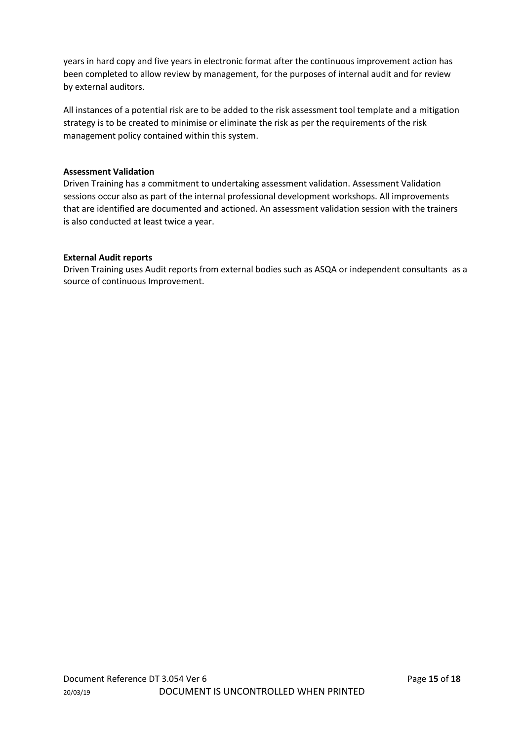years in hard copy and five years in electronic format after the continuous improvement action has been completed to allow review by management, for the purposes of internal audit and for review by external auditors.

All instances of a potential risk are to be added to the risk assessment tool template and a mitigation strategy is to be created to minimise or eliminate the risk as per the requirements of the risk management policy contained within this system.

#### **Assessment Validation**

Driven Training has a commitment to undertaking assessment validation. Assessment Validation sessions occur also as part of the internal professional development workshops. All improvements that are identified are documented and actioned. An assessment validation session with the trainers is also conducted at least twice a year.

#### **External Audit reports**

Driven Training uses Audit reports from external bodies such as ASQA or independent consultants as a source of continuous Improvement.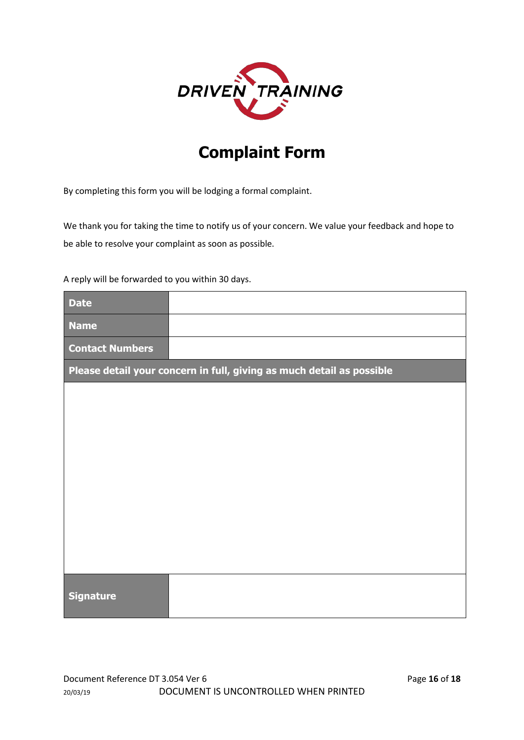

# **Complaint Form**

By completing this form you will be lodging a formal complaint.

We thank you for taking the time to notify us of your concern. We value your feedback and hope to be able to resolve your complaint as soon as possible.

A reply will be forwarded to you within 30 days.

| <b>Date</b>            |                                                                       |
|------------------------|-----------------------------------------------------------------------|
| <b>Name</b>            |                                                                       |
| <b>Contact Numbers</b> |                                                                       |
|                        | Please detail your concern in full, giving as much detail as possible |
|                        |                                                                       |
|                        |                                                                       |
|                        |                                                                       |
|                        |                                                                       |
|                        |                                                                       |
|                        |                                                                       |
|                        |                                                                       |
|                        |                                                                       |
|                        |                                                                       |
| <b>Signature</b>       |                                                                       |
|                        |                                                                       |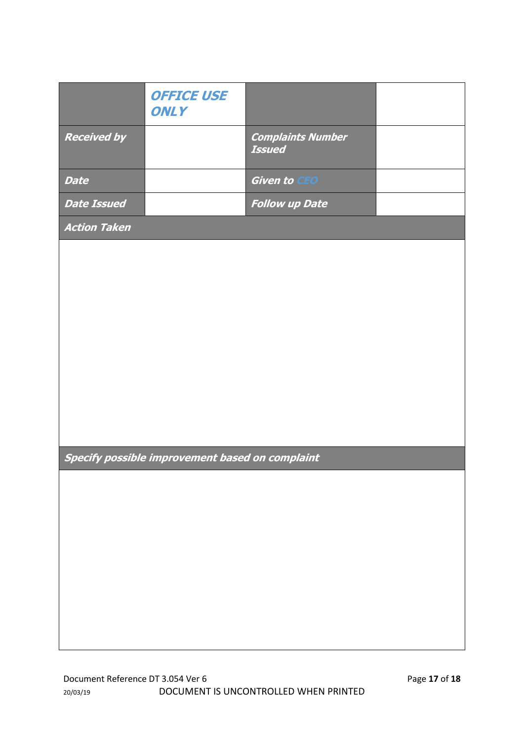|                     | <b>OFFICE USE</b><br><b>ONLY</b>                |                                           |  |
|---------------------|-------------------------------------------------|-------------------------------------------|--|
| <b>Received by</b>  |                                                 | <b>Complaints Number</b><br><b>Issued</b> |  |
| <b>Date</b>         |                                                 | <b>Given to CEO</b>                       |  |
| <b>Date Issued</b>  |                                                 | <b>Follow up Date</b>                     |  |
| <b>Action Taken</b> |                                                 |                                           |  |
|                     |                                                 |                                           |  |
|                     |                                                 |                                           |  |
|                     |                                                 |                                           |  |
|                     |                                                 |                                           |  |
|                     |                                                 |                                           |  |
|                     |                                                 |                                           |  |
|                     |                                                 |                                           |  |
|                     |                                                 |                                           |  |
|                     |                                                 |                                           |  |
|                     |                                                 |                                           |  |
|                     | Specify possible improvement based on complaint |                                           |  |
|                     |                                                 |                                           |  |
|                     |                                                 |                                           |  |
|                     |                                                 |                                           |  |
|                     |                                                 |                                           |  |
|                     |                                                 |                                           |  |
|                     |                                                 |                                           |  |
|                     |                                                 |                                           |  |
|                     |                                                 |                                           |  |
|                     |                                                 |                                           |  |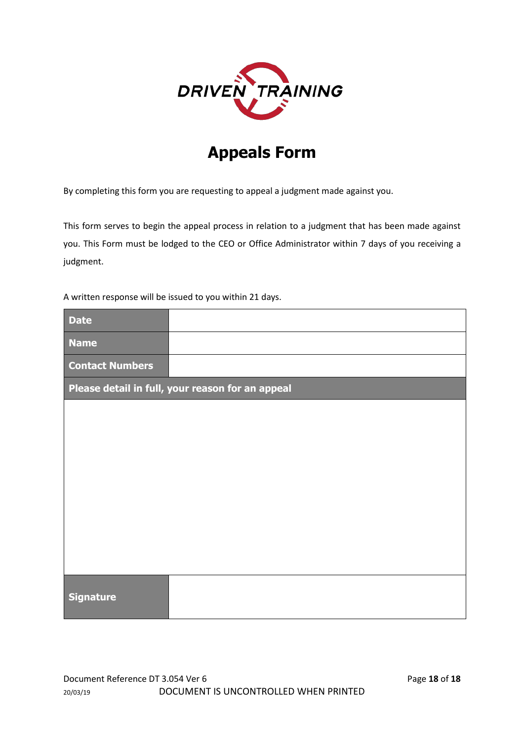

# **Appeals Form**

By completing this form you are requesting to appeal a judgment made against you.

This form serves to begin the appeal process in relation to a judgment that has been made against you. This Form must be lodged to the CEO or Office Administrator within 7 days of you receiving a judgment.

A written response will be issued to you within 21 days.

| <b>Date</b>                                      |  |  |  |  |
|--------------------------------------------------|--|--|--|--|
| <b>Name</b>                                      |  |  |  |  |
| <b>Contact Numbers</b>                           |  |  |  |  |
| Please detail in full, your reason for an appeal |  |  |  |  |
|                                                  |  |  |  |  |
|                                                  |  |  |  |  |
|                                                  |  |  |  |  |
|                                                  |  |  |  |  |
|                                                  |  |  |  |  |
|                                                  |  |  |  |  |
|                                                  |  |  |  |  |
|                                                  |  |  |  |  |
| <b>Signature</b>                                 |  |  |  |  |